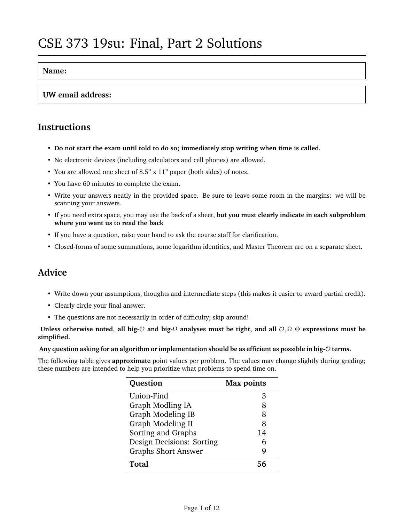#### **Name:**

#### **UW email address:**

### **Instructions**

- **Do not start the exam until told to do so; immediately stop writing when time is called.**
- No electronic devices (including calculators and cell phones) are allowed.
- You are allowed one sheet of 8.5" x 11" paper (both sides) of notes.
- You have 60 minutes to complete the exam.
- Write your answers neatly in the provided space. Be sure to leave some room in the margins: we will be scanning your answers.
- If you need extra space, you may use the back of a sheet, **but you must clearly indicate in each subproblem where you want us to read the back**
- If you have a question, raise your hand to ask the course staff for clarification.
- Closed-forms of some summations, some logarithm identities, and Master Theorem are on a separate sheet.

### **Advice**

- Write down your assumptions, thoughts and intermediate steps (this makes it easier to award partial credit).
- Clearly circle your final answer.
- The questions are not necessarily in order of difficulty; skip around!

**Unless otherwise noted, all big-**O **and big-**Ω **analyses must be tight, and all** O, Ω, Θ **expressions must be simplified.**

**Any question asking for an algorithm or implementation should be as efficient as possible in big-**O **terms.**

The following table gives **approximate** point values per problem. The values may change slightly during grading; these numbers are intended to help you prioritize what problems to spend time on.

| Question                   | <b>Max points</b> |
|----------------------------|-------------------|
| Union-Find                 | З                 |
| Graph Modling IA           | 8                 |
| Graph Modeling IB          | 8                 |
| Graph Modeling II          | 8                 |
| Sorting and Graphs         | 14                |
| Design Decisions: Sorting  | 6                 |
| <b>Graphs Short Answer</b> | Q                 |
| Total                      | 56                |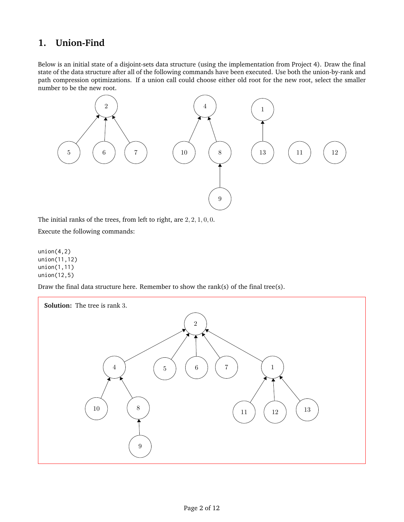### **1. Union-Find**

Below is an initial state of a disjoint-sets data structure (using the implementation from Project 4). Draw the final state of the data structure after all of the following commands have been executed. Use both the union-by-rank and path compression optimizations. If a union call could choose either old root for the new root, select the smaller number to be the new root.



The initial ranks of the trees, from left to right, are 2, 2, 1, 0, 0.

Execute the following commands:

 $union(4,2)$ union(11,12) union(1,11) union(12,5)

Draw the final data structure here. Remember to show the rank(s) of the final tree(s).

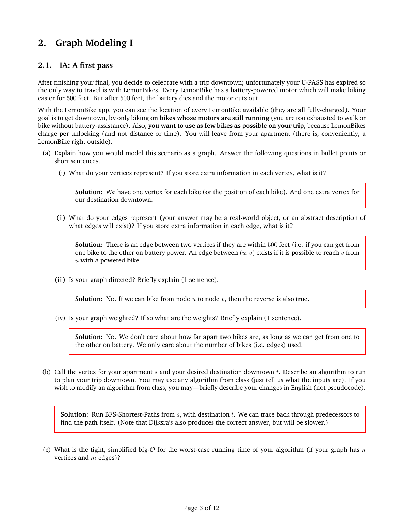# **2. Graph Modeling I**

#### **2.1. IA: A first pass**

After finishing your final, you decide to celebrate with a trip downtown; unfortunately your U-PASS has expired so the only way to travel is with LemonBikes. Every LemonBike has a battery-powered motor which will make biking easier for 500 feet. But after 500 feet, the battery dies and the motor cuts out.

With the LemonBike app, you can see the location of every LemonBike available (they are all fully-charged). Your goal is to get downtown, by only biking **on bikes whose motors are still running** (you are too exhausted to walk or bike without battery-assistance). Also, **you want to use as few bikes as possible on your trip**, because LemonBikes charge per unlocking (and not distance or time). You will leave from your apartment (there is, conveniently, a LemonBike right outside).

- (a) Explain how you would model this scenario as a graph. Answer the following questions in bullet points or short sentences.
	- (i) What do your vertices represent? If you store extra information in each vertex, what is it?

**Solution:** We have one vertex for each bike (or the position of each bike). And one extra vertex for our destination downtown.

(ii) What do your edges represent (your answer may be a real-world object, or an abstract description of what edges will exist)? If you store extra information in each edge, what is it?

**Solution:** There is an edge between two vertices if they are within 500 feet (i.e. if you can get from one bike to the other on battery power. An edge between  $(u, v)$  exists if it is possible to reach v from  $u$  with a powered bike.

(iii) Is your graph directed? Briefly explain (1 sentence).

**Solution:** No. If we can bike from node  $u$  to node  $v$ , then the reverse is also true.

(iv) Is your graph weighted? If so what are the weights? Briefly explain (1 sentence).

**Solution:** No. We don't care about how far apart two bikes are, as long as we can get from one to the other on battery. We only care about the number of bikes (i.e. edges) used.

(b) Call the vertex for your apartment s and your desired destination downtown t. Describe an algorithm to run to plan your trip downtown. You may use any algorithm from class (just tell us what the inputs are). If you wish to modify an algorithm from class, you may—briefly describe your changes in English (not pseudocode).

**Solution:** Run BFS-Shortest-Paths from s, with destination t. We can trace back through predecessors to find the path itself. (Note that Dijksra's also produces the correct answer, but will be slower.)

(c) What is the tight, simplified big- $\mathcal O$  for the worst-case running time of your algorithm (if your graph has n vertices and  $m$  edges)?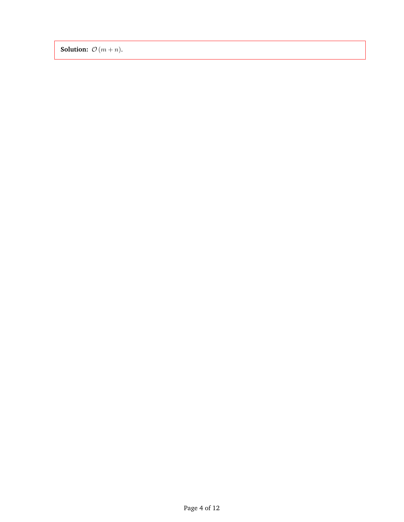**Solution:**  $\mathcal{O}(m + n)$ .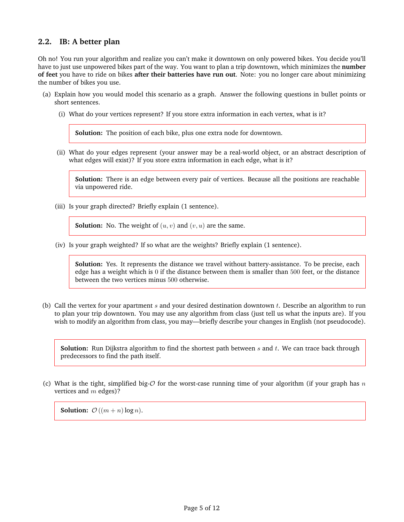### **2.2. IB: A better plan**

Oh no! You run your algorithm and realize you can't make it downtown on only powered bikes. You decide you'll have to just use unpowered bikes part of the way. You want to plan a trip downtown, which minimizes the **number of feet** you have to ride on bikes **after their batteries have run out**. Note: you no longer care about minimizing the number of bikes you use.

- (a) Explain how you would model this scenario as a graph. Answer the following questions in bullet points or short sentences.
	- (i) What do your vertices represent? If you store extra information in each vertex, what is it?

**Solution:** The position of each bike, plus one extra node for downtown.

(ii) What do your edges represent (your answer may be a real-world object, or an abstract description of what edges will exist)? If you store extra information in each edge, what is it?

**Solution:** There is an edge between every pair of vertices. Because all the positions are reachable via unpowered ride.

(iii) Is your graph directed? Briefly explain (1 sentence).

**Solution:** No. The weight of  $(u, v)$  and  $(v, u)$  are the same.

(iv) Is your graph weighted? If so what are the weights? Briefly explain (1 sentence).

**Solution:** Yes. It represents the distance we travel without battery-assistance. To be precise, each edge has a weight which is 0 if the distance between them is smaller than 500 feet, or the distance between the two vertices minus 500 otherwise.

(b) Call the vertex for your apartment  $s$  and your desired destination downtown  $t$ . Describe an algorithm to run to plan your trip downtown. You may use any algorithm from class (just tell us what the inputs are). If you wish to modify an algorithm from class, you may—briefly describe your changes in English (not pseudocode).

**Solution:** Run Dijkstra algorithm to find the shortest path between  $s$  and  $t$ . We can trace back through predecessors to find the path itself.

(c) What is the tight, simplified big- $O$  for the worst-case running time of your algorithm (if your graph has n vertices and  $m$  edges)?

**Solution:**  $\mathcal{O}((m+n)\log n)$ .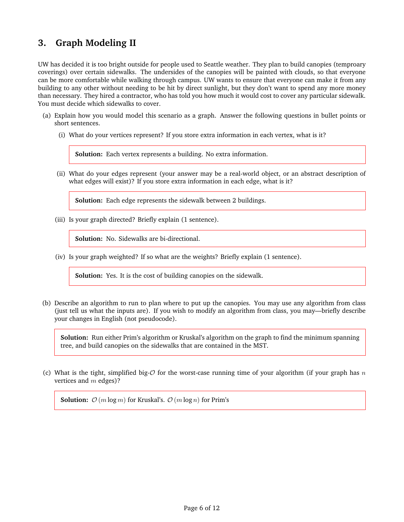### **3. Graph Modeling II**

UW has decided it is too bright outside for people used to Seattle weather. They plan to build canopies (temproary coverings) over certain sidewalks. The undersides of the canopies will be painted with clouds, so that everyone can be more comfortable while walking through campus. UW wants to ensure that everyone can make it from any building to any other without needing to be hit by direct sunlight, but they don't want to spend any more money than necessary. They hired a contractor, who has told you how much it would cost to cover any particular sidewalk. You must decide which sidewalks to cover.

- (a) Explain how you would model this scenario as a graph. Answer the following questions in bullet points or short sentences.
	- (i) What do your vertices represent? If you store extra information in each vertex, what is it?

**Solution:** Each vertex represents a building. No extra information.

(ii) What do your edges represent (your answer may be a real-world object, or an abstract description of what edges will exist)? If you store extra information in each edge, what is it?

**Solution:** Each edge represents the sidewalk between 2 buildings.

(iii) Is your graph directed? Briefly explain (1 sentence).

**Solution:** No. Sidewalks are bi-directional.

(iv) Is your graph weighted? If so what are the weights? Briefly explain (1 sentence).

**Solution:** Yes. It is the cost of building canopies on the sidewalk.

(b) Describe an algorithm to run to plan where to put up the canopies. You may use any algorithm from class (just tell us what the inputs are). If you wish to modify an algorithm from class, you may—briefly describe your changes in English (not pseudocode).

**Solution:** Run either Prim's algorithm or Kruskal's algorithm on the graph to find the minimum spanning tree, and build canopies on the sidewalks that are contained in the MST.

(c) What is the tight, simplified big- $O$  for the worst-case running time of your algorithm (if your graph has n vertices and  $m$  edges)?

**Solution:**  $\mathcal{O}(m \log m)$  for Kruskal's.  $\mathcal{O}(m \log n)$  for Prim's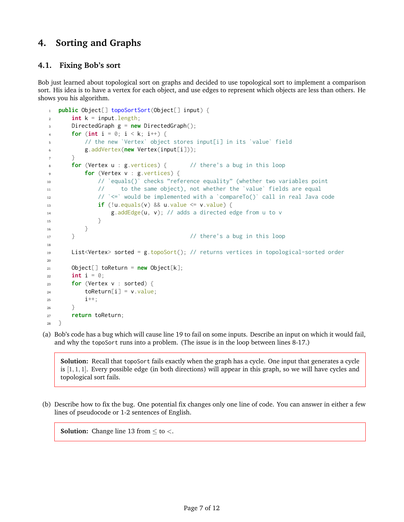### **4. Sorting and Graphs**

#### <span id="page-6-0"></span>**4.1. Fixing Bob's sort**

Bob just learned about topological sort on graphs and decided to use topological sort to implement a comparison sort. His idea is to have a vertex for each object, and use edges to represent which objects are less than others. He shows you his algorithm.

```
1 public Object[] topoSortSort(Object[] input) {
2 \quad \text{int } k = \text{input}. length;
3 DirectedGraph g = new DirectedGraph();
4 for (int i = 0; i < k; i++) {
5 // the new `Vertex` object stores input[i] in its `value` field
6 g.addVertex(new Vertex(input[i]));
      7 }
8 for (Vertex u : g.vertices) { // there's a bug in this loop
9 for (Vertex v : g.vertices) {
10 // `equals()` checks "reference equality" (whether two variables point
11 // to the same object), not whether the `value` fields are equal
12 // `<=` would be implemented with a `compareTo()` call in real Java code
13 if (!u.equals(v) && u.value \leq v.value) {
14 g.addEdge(u, v); // adds a directed edge from u to v
\begin{array}{ccc} 15 & & \end{array}16 }
17 } // there's a bug in this loop
18
19 List<Vertex> sorted = g.topoSort(); // returns vertices in topological-sorted order
20
21 Object[] toReturn = new Object[k];
22 int i = 0;
23 for (Vertex v : sorted) {
24 toReturn[i] = v.value;
25 \quad i++;26 }
27 return toReturn;
28 }
```
(a) Bob's code has a bug which will cause line [19](#page-6-0) to fail on some inputs. Describe an input on which it would fail, and why the topoSort runs into a problem. (The issue is in the loop between lines [8-17.](#page-6-0))

**Solution:** Recall that topoSort fails exactly when the graph has a cycle. One input that generates a cycle is  $[1, 1, 1]$ . Every possible edge (in both directions) will appear in this graph, so we will have cycles and topological sort fails.

(b) Describe how to fix the bug. One potential fix changes only one line of code. You can answer in either a few lines of pseudocode or 1-2 sentences of English.

**Solution:** Change line 13 from  $\leq$  to  $<$ .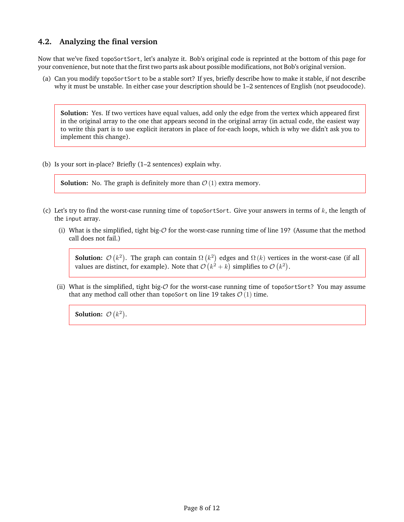#### **4.2. Analyzing the final version**

Now that we've fixed topoSortSort, let's analyze it. Bob's original code is reprinted at the bottom of this page for your convenience, but note that the first two parts ask about possible modifications, not Bob's original version.

(a) Can you modify topoSortSort to be a stable sort? If yes, briefly describe how to make it stable, if not describe why it must be unstable. In either case your description should be 1–2 sentences of English (not pseudocode).

**Solution:** Yes. If two vertices have equal values, add only the edge from the vertex which appeared first in the original array to the one that appears second in the original array (in actual code, the easiest way to write this part is to use explicit iterators in place of for-each loops, which is why we didn't ask you to implement this change).

(b) Is your sort in-place? Briefly (1–2 sentences) explain why.

**Solution:** No. The graph is definitely more than  $\mathcal{O}(1)$  extra memory.

- (c) Let's try to find the worst-case running time of topoSortSort. Give your answers in terms of  $k$ , the length of the input array.
	- (i) What is the simplified, tight big- $\mathcal O$  for the worst-case running time of line [19?](#page-6-0) (Assume that the method call does not fail.)

**Solution:**  $\mathcal{O}(k^2)$ . The graph can contain  $\Omega(k^2)$  edges and  $\Omega(k)$  vertices in the worst-case (if all values are distinct, for example). Note that  $\mathcal{O}(k^2 + k)$  simplifies to  $\mathcal{O}(k^2)$ .

(ii) What is the simplified, tight big-O for the worst-case running time of topoSortSort? You may assume that any method call other than topoSort on line [19](#page-6-0) takes  $\mathcal{O}(1)$  time.

**Solution:**  $\mathcal{O}(k^2)$ .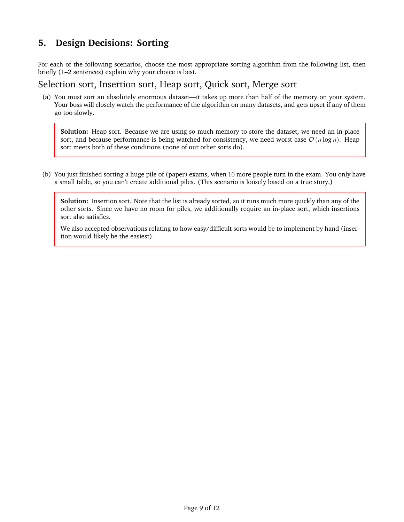### **5. Design Decisions: Sorting**

For each of the following scenarios, choose the most appropriate sorting algorithm from the following list, then briefly (1–2 sentences) explain why your choice is best.

### Selection sort, Insertion sort, Heap sort, Quick sort, Merge sort

(a) You must sort an absolutely enormous dataset—it takes up more than half of the memory on your system. Your boss will closely watch the performance of the algorithm on many datasets, and gets upset if any of them go too slowly.

**Solution:** Heap sort. Because we are using so much memory to store the dataset, we need an in-place sort, and because performance is being watched for consistency, we need worst case  $\mathcal{O}(n \log n)$ . Heap sort meets both of these conditions (none of our other sorts do).

(b) You just finished sorting a huge pile of (paper) exams, when 10 more people turn in the exam. You only have a small table, so you can't create additional piles. (This scenario is loosely based on a true story.)

**Solution:** Insertion sort. Note that the list is already sorted, so it runs much more quickly than any of the other sorts. Since we have no room for piles, we additionally require an in-place sort, which insertions sort also satisfies.

We also accepted observations relating to how easy/difficult sorts would be to implement by hand (insertion would likely be the easiest).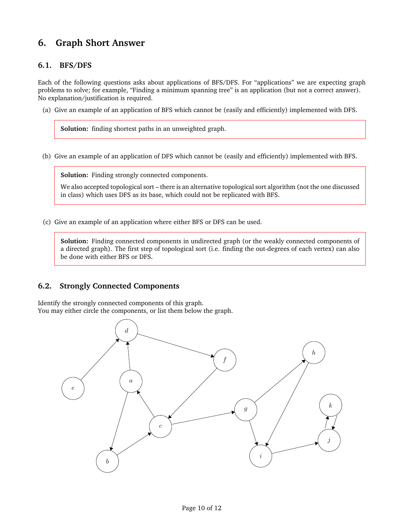# **6. Graph Short Answer**

#### **6.1. BFS/DFS**

Each of the following questions asks about applications of BFS/DFS. For "applications" we are expecting graph problems to solve; for example, "Finding a minimum spanning tree" is an application (but not a correct answer). No explanation/justification is required.

(a) Give an example of an application of BFS which cannot be (easily and efficiently) implemented with DFS.

**Solution:** finding shortest paths in an unweighted graph.

(b) Give an example of an application of DFS which cannot be (easily and efficiently) implemented with BFS.

**Solution:** Finding strongly connected components.

We also accepted topological sort – there is an alternative topological sort algorithm (not the one discussed in class) which uses DFS as its base, which could not be replicated with BFS.

(c) Give an example of an application where either BFS or DFS can be used.

**Solution:** Finding connected components in undirected graph (or the weakly connected components of a directed graph). The first step of topological sort (i.e. finding the out-degrees of each vertex) can also be done with either BFS or DFS.

#### **6.2. Strongly Connected Components**

Identify the strongly connected components of this graph. You may either circle the components, or list them below the graph.

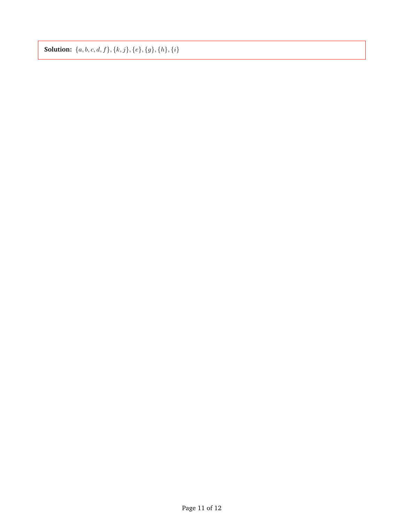**Solution:**  $\{a, b, c, d, f\}, \{k, j\}, \{e\}, \{g\}, \{h\}, \{i\}$